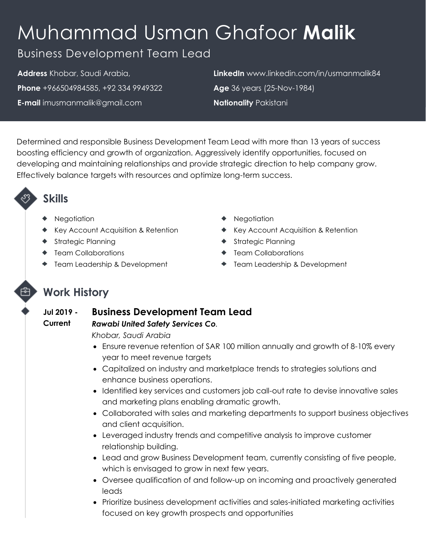# Muhammad Usman Ghafoor **Malik**

# Business Development Team Lead

**Address** Khobar, Saudi Arabia, **Phone** +966504984585, +92 334 9949322 **E-mail** imusmanmalik@gmail.com

**LinkedIn** www.linkedin.com/in/usmanmalik84 **Age** 36 years (25-Nov-1984) **Nationality** Pakistani

Determined and responsible Business Development Team Lead with more than 13 years of success boosting efficiency and growth of organization. Aggressively identify opportunities, focused on developing and maintaining relationships and provide strategic direction to help company grow. Effectively balance targets with resources and optimize long-term success.

# **Skills**

- **Negotiation**
- ◆ Key Account Acquisition & Retention
- ◆ Strategic Planning
- **Team Collaborations**
- ◆ Team Leadership & Development
- **Negotiation**
- ◆ Key Account Acquisition & Retention
- ◆ Strategic Planning
- **Team Collaborations**
- **Team Leadership & Development**

# **Work History**

#### **Jul 2019 - Current Business Development Team Lead**

### *Rawabi United Safety Services Co.*

*Khobar, Saudi Arabia*

- Ensure revenue retention of SAR 100 million annually and growth of 8-10% every year to meet revenue targets
- Capitalized on industry and marketplace trends to strategies solutions and enhance business operations.
- Identified key services and customers job call-out rate to devise innovative sales and marketing plans enabling dramatic growth.
- Collaborated with sales and marketing departments to support business objectives and client acquisition.
- Leveraged industry trends and competitive analysis to improve customer relationship building.
- Lead and grow Business Development team, currently consisting of five people, which is envisaged to grow in next few years.
- Oversee qualification of and follow-up on incoming and proactively generated leads
- Prioritize business development activities and sales-initiated marketing activities focused on key growth prospects and opportunities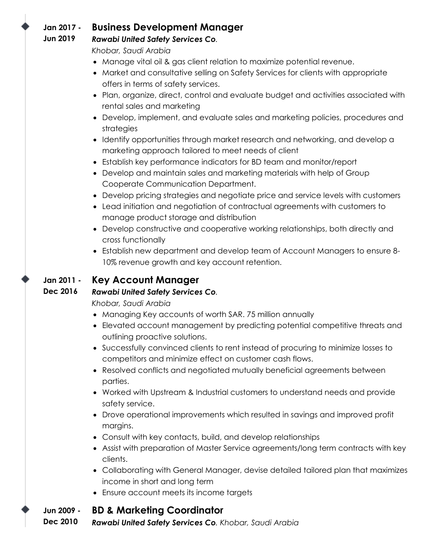#### **Jan 2017 - Business Development Manager**

#### **Jun 2019** *Rawabi United Safety Services Co.*

*Khobar, Saudi Arabia*

- Manage vital oil & gas client relation to maximize potential revenue.
- Market and consultative selling on Safety Services for clients with appropriate offers in terms of safety services.
- Plan, organize, direct, control and evaluate budget and activities associated with rental sales and marketing
- Develop, implement, and evaluate sales and marketing policies, procedures and strategies
- Identify opportunities through market research and networking, and develop a marketing approach tailored to meet needs of client
- Establish key performance indicators for BD team and monitor/report
- Develop and maintain sales and marketing materials with help of Group Cooperate Communication Department.
- Develop pricing strategies and negotiate price and service levels with customers
- Lead initiation and negotiation of contractual agreements with customers to manage product storage and distribution
- Develop constructive and cooperative working relationships, both directly and cross functionally
- Establish new department and develop team of Account Managers to ensure 8- 10% revenue growth and key account retention.

#### **Jan 2011 - Key Account Manager**

#### **Dec 2016** *Rawabi United Safety Services Co.*

*Khobar, Saudi Arabia*

- Managing Key accounts of worth SAR. 75 million annually
- Elevated account management by predicting potential competitive threats and outlining proactive solutions.
- Successfully convinced clients to rent instead of procuring to minimize losses to competitors and minimize effect on customer cash flows.
- Resolved conflicts and negotiated mutually beneficial agreements between parties.
- Worked with Upstream & Industrial customers to understand needs and provide safety service.
- Drove operational improvements which resulted in savings and improved profit margins.
- Consult with key contacts, build, and develop relationships
- Assist with preparation of Master Service agreements/long term contracts with key clients.
- Collaborating with General Manager, devise detailed tailored plan that maximizes income in short and long term
- Ensure account meets its income targets

#### **Jun 2009 - BD & Marketing Coordinator**

**Dec 2010** *Rawabi United Safety Services Co. Khobar, Saudi Arabia*